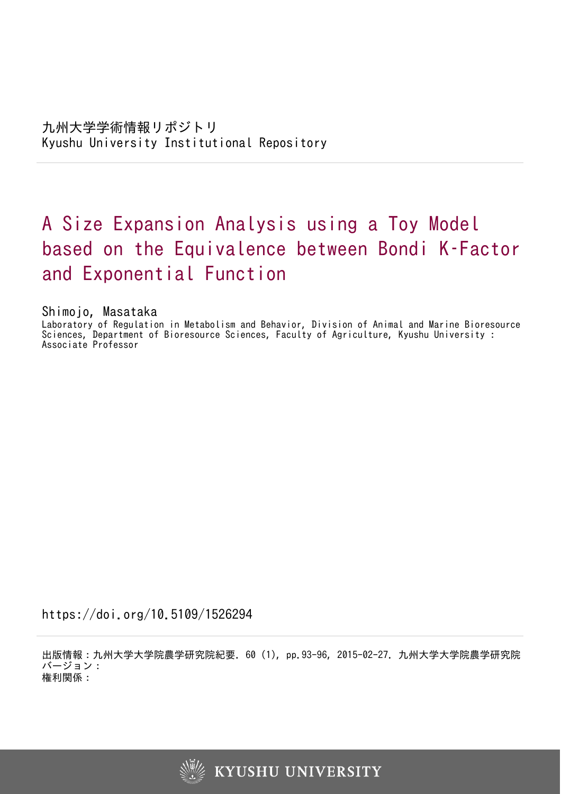# A Size Expansion Analysis using a Toy Model based on the Equivalence between Bondi K–Factor and Exponential Function

Shimojo, Masataka

Laboratory of Regulation in Metabolism and Behavior, Division of Animal and Marine Bioresource Sciences, Department of Bioresource Sciences, Faculty of Agriculture, Kyushu University : Associate Professor

https://doi.org/10.5109/1526294

出版情報:九州大学大学院農学研究院紀要. 60 (1), pp.93-96, 2015-02-27. 九州大学大学院農学研究院 バージョン: 権利関係:

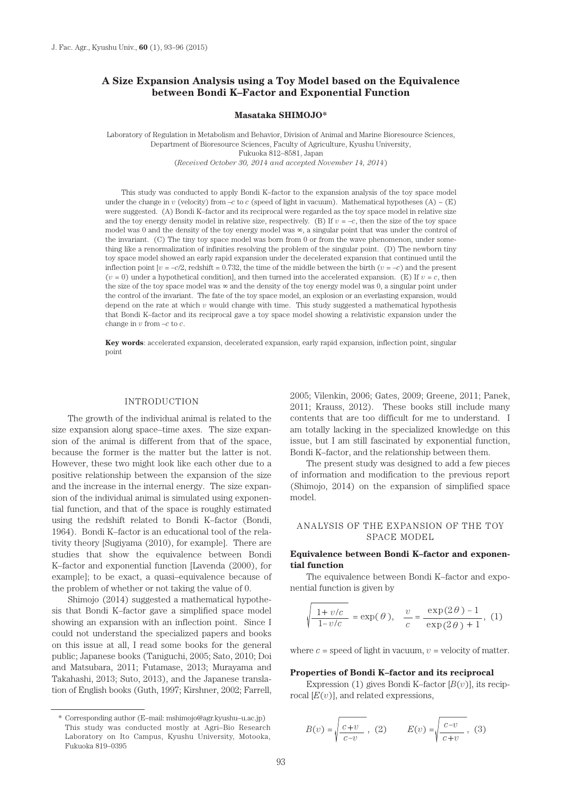## **A Size Expansion Analysis using a Toy Model based on the Equivalence between Bondi K–Factor and Exponential Function**

#### **Masataka SHIMOJO\***

Laboratory of Regulation in Metabolism and Behavior, Division of Animal and Marine Bioresource Sciences, Department of Bioresource Sciences, Faculty of Agriculture, Kyushu University, Fukuoka 812–8581, Japan (*Received October 30, 2014 and accepted November 14, 2014*)

This study was conducted to apply Bondi K–factor to the expansion analysis of the toy space model under the change in *v* (velocity) from –*c* to *c* (speed of light in vacuum). Mathematical hypotheses (A) ~ (E) were suggested. (A) Bondi K–factor and its reciprocal were regarded as the toy space model in relative size and the toy energy density model in relative size, respectively. (B) If  $v = -c$ , then the size of the toy space model was 0 and the density of the toy energy model was  $\infty$ , a singular point that was under the control of the invariant. (C) The tiny toy space model was born from 0 or from the wave phenomenon, under something like a renormalization of infinities resolving the problem of the singular point. (D) The newborn tiny toy space model showed an early rapid expansion under the decelerated expansion that continued until the inflection point  $[v = -c/2]$ , redshift = 0.732, the time of the middle between the birth  $(v = -c)$  and the present  $(v = 0)$  under a hypothetical condition], and then turned into the accelerated expansion. (E) If  $v = c$ , then the size of the toy space model was  $\infty$  and the density of the toy energy model was 0, a singular point under the control of the invariant. The fate of the toy space model, an explosion or an everlasting expansion, would depend on the rate at which *v* would change with time. This study suggested a mathematical hypothesis that Bondi K–factor and its reciprocal gave a toy space model showing a relativistic expansion under the change in *v* from –*c* to *c*.

**Key words**: accelerated expansion, decelerated expansion, early rapid expansion, inflection point, singular point

#### INTRODUCTION

The growth of the individual animal is related to the size expansion along space–time axes. The size expansion of the animal is different from that of the space, because the former is the matter but the latter is not. However, these two might look like each other due to a positive relationship between the expansion of the size and the increase in the internal energy. The size expansion of the individual animal is simulated using exponential function, and that of the space is roughly estimated using the redshift related to Bondi K–factor (Bondi, 1964). Bondi K–factor is an educational tool of the relativity theory [Sugiyama (2010), for example]. There are studies that show the equivalence between Bondi K–factor and exponential function [Lavenda (2000), for example]; to be exact, a quasi–equivalence because of the problem of whether or not taking the value of 0.

Shimojo (2014) suggested a mathematical hypothesis that Bondi K–factor gave a simplified space model showing an expansion with an inflection point. Since I could not understand the specialized papers and books on this issue at all, I read some books for the general public; Japanese books (Taniguchi, 2005; Sato, 2010; Doi and Matsubara, 2011; Futamase, 2013; Murayama and Takahashi, 2013; Suto, 2013), and the Japanese translation of English books (Guth, 1997; Kirshner, 2002; Farrell, 2005; Vilenkin, 2006; Gates, 2009; Greene, 2011; Panek, 2011; Krauss, 2012). These books still include many contents that are too difficult for me to understand. I am totally lacking in the specialized knowledge on this issue, but I am still fascinated by exponential function, Bondi K–factor, and the relationship between them.

The present study was designed to add a few pieces of information and modification to the previous report (Shimojo, 2014) on the expansion of simplified space model.

## ANALYSIS OF THE EXPANSION OF THE TOY SPACE MODEL

### **Equivalence between Bondi K–factor and exponential function**

The equivalence between Bondi K–factor and exponential function is given by

$$
\sqrt{\frac{1+v/c}{1-v/c}} = \exp(\theta), \quad \frac{v}{c} = \frac{\exp(2\theta) - 1}{\exp(2\theta) + 1}, (1)
$$

where  $c =$  speed of light in vacuum,  $v =$  velocity of matter.

#### **Properties of Bondi K–factor and its reciprocal**

Expression (1) gives Bondi K–factor  $[B(v)]$ , its reciprocal  $[E(v)]$ , and related expressions,

$$
B(v)=\sqrt{\frac{c+v}{c-v}}\ ,\ (2)\qquad \ \ E(v)=\sqrt{\frac{c-v}{c+v}}\ ,\ (3)
$$

<sup>\*</sup> Corresponding author (E–mail: mshimojo@agr.kyushu–u.ac.jp) This study was conducted mostly at Agri–Bio Research Laboratory on Ito Campus, Kyushu University, Motooka, Fukuoka 819–0395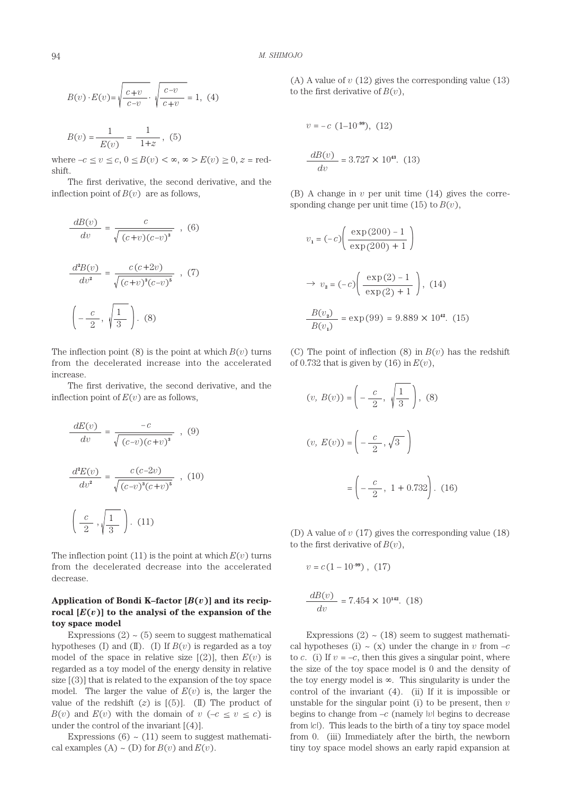$$
B(v) \cdot E(v) = \sqrt{\frac{c+v}{c-v}} \cdot \sqrt{\frac{c-v}{c+v}} = 1, (4)
$$

$$
B(v) = \frac{1}{\sqrt{1 - \frac{v}{c}} \cdot \sqrt{5}} = \frac{1}{\sqrt{1 - \frac{v}{c}} \cdot \sqrt{5}}
$$

1+*z*

*E*(*v*)

where  $-c \le v \le c$ ,  $0 \le B(v) < \infty$ ,  $\infty > E(v) \ge 0$ ,  $z =$  redshift.

The first derivative, the second derivative, and the inflection point of  $B(v)$  are as follows,

$$
\frac{dB(v)}{dv} = \frac{c}{\sqrt{(c+v)(c-v)^3}} , (6)
$$

$$
\frac{d^2B(v)}{dv^2} = \frac{c(c+2v)}{\sqrt{(c+v)^3(c-v)^5}} , (7)
$$

$$
\left(-\frac{c}{2}, \sqrt{\frac{1}{3}}\right). (8)
$$

The inflection point (8) is the point at which  $B(v)$  turns from the decelerated increase into the accelerated increase.

The first derivative, the second derivative, and the inflection point of  $E(v)$  are as follows,

$$
\frac{dE(v)}{dv} = \frac{-c}{\sqrt{(c-v)(c+v)^3}}, \quad (9)
$$

$$
\frac{d^2E(v)}{dv^2} = \frac{c(c-2v)}{\sqrt{(c-v)^3(c+v)^5}}, \quad (10)
$$

$$
\left(\frac{c}{2}, \sqrt{\frac{1}{3}}\right). \quad (11)
$$

The inflection point  $(11)$  is the point at which  $E(v)$  turns from the decelerated decrease into the accelerated decrease.

# Application of Bondi K–factor  $[B(v)]$  and its reciprocal  $[E(v)]$  to the analysi of the expansion of the **toy space model**

Expressions  $(2) \sim (5)$  seem to suggest mathematical hypotheses (I) and (II). (I) If  $B(v)$  is regarded as a toy model of the space in relative size  $[(2)]$ , then  $E(v)$  is regarded as a toy model of the energy density in relative size [(3)] that is related to the expansion of the toy space model. The larger the value of  $E(v)$  is, the larger the value of the redshift  $(z)$  is  $[(5)]$ .  $(II)$  The product of *B*(*v*) and *E*(*v*) with the domain of  $v$  (–*c*  $\leq v \leq c$ ) is under the control of the invariant  $[(4)]$ .

Expressions  $(6) \sim (11)$  seem to suggest mathematical examples  $(A) \sim (D)$  for  $B(v)$  and  $E(v)$ .

(A) A value of *v* (12) gives the corresponding value (13) to the first derivative of  $B(v)$ ,

$$
v = -c
$$
 (1-10<sup>-99</sup>), (12)  

$$
\frac{dB(v)}{dv} = 3.727 \times 10^{43}
$$
 (13)

(B) A change in *v* per unit time (14) gives the corresponding change per unit time  $(15)$  to  $B(v)$ ,

$$
v_1 = (-c) \left( \frac{\exp(200) - 1}{\exp(200) + 1} \right)
$$
  
\n
$$
\Rightarrow v_2 = (-c) \left( \frac{\exp(2) - 1}{\exp(2) + 1} \right), (14)
$$
  
\n
$$
\frac{B(v_2)}{B(v_1)} = \exp(99) = 9.889 \times 10^{42}. (15)
$$

(C) The point of inflection (8) in  $B(v)$  has the redshift of 0.732 that is given by (16) in *E*(*v*),

$$
(v, B(v)) = \left(-\frac{c}{2}, \sqrt{\frac{1}{3}}\right), (8)
$$

$$
(v, E(v)) = \left(-\frac{c}{2}, \sqrt{3}\right)
$$

$$
= \left(-\frac{c}{2}, 1 + 0.732\right). (16)
$$

(D) A value of *v* (17) gives the corresponding value (18) to the first derivative of  $B(v)$ ,

$$
v = c(1 - 10^{-99}), (17)
$$

$$
\frac{dB(v)}{dv} = 7.454 \times 10^{142}. (18)
$$

Expressions  $(2) \sim (18)$  seem to suggest mathematical hypotheses (i)  $\sim$  (x) under the change in *v* from  $-c$ to *c*. (i) If  $v = -c$ , then this gives a singular point, where the size of the toy space model is 0 and the density of the toy energy model is ∞. This singularity is under the control of the invariant (4). (ii) If it is impossible or unstable for the singular point (i) to be present, then *v*  begins to change from  $-c$  (namely |*v*| begins to decrease from  $|c|$ ). This leads to the birth of a tiny toy space model from 0. (iii) Immediately after the birth, the newborn tiny toy space model shows an early rapid expansion at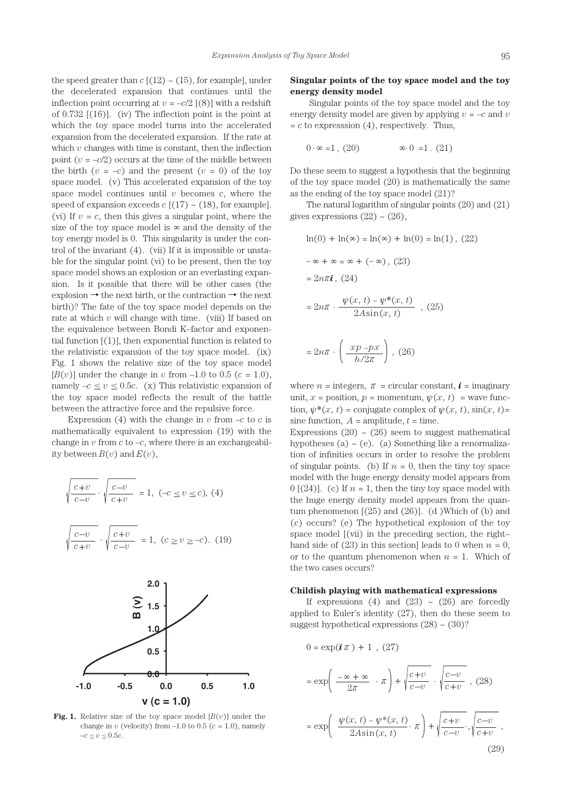the speed greater than  $c$  [(12)  $\sim$  (15), for example], under the decelerated expansion that continues until the inflection point occurring at  $v = -c/2$  [(8)] with a redshift of 0.732 [(16)]. (iv) The inflection point is the point at which the toy space model turns into the accelerated expansion from the decelerated expansion. If the rate at which  $v$  changes with time is constant, then the inflection point  $(v = -c/2)$  occurs at the time of the middle between the birth  $(v = -c)$  and the present  $(v = 0)$  of the toy space model. (v) This accelerated expansion of the toy space model continues until *v* becomes *c*, where the speed of expansion exceeds  $c$  [(17)  $\sim$  (18), for example]. (vi) If  $v = c$ , then this gives a singular point, where the size of the toy space model is  $\infty$  and the density of the toy energy model is 0. This singularity is under the control of the invariant (4). (vii) If it is impossible or unstable for the singular point (vi) to be present, then the toy space model shows an explosion or an everlasting expansion. Is it possible that there will be other cases (the explosion  $\rightarrow$  the next birth, or the contraction  $\rightarrow$  the next birth)? The fate of the toy space model depends on the rate at which *v* will change with time. (viii) If based on the equivalence between Bondi K–factor and exponential function  $[(1)]$ , then exponential function is related to the relativistic expansion of the toy space model. (ix) Fig. 1 shows the relative size of the toy space model  $[B(v)]$  under the change in *v* from  $-1.0$  to 0.5 ( $c = 1.0$ ), namely  $-c \le v \le 0.5c$ . (x) This relativistic expansion of the toy space model reflects the result of the battle between the attractive force and the repulsive force.

Expression (4) with the change in  $v$  from  $-c$  to  $c$  is mathematically equivalent to expression (19) with the change in  $v$  from  $c$  to  $-c$ , where there is an exchangeability between  $B(v)$  and  $E(v)$ ,

$$
\sqrt{\frac{c+v}{c-v}} \cdot \sqrt{\frac{c-v}{c+v}} = 1, (-c \le v \le c), (4)
$$
\n
$$
\sqrt{\frac{c-v}{c+v}} \cdot \sqrt{\frac{c+v}{c-v}} = 1, (c \ge v \ge -c). (19)
$$



**Fig. 1.** Relative size of the toy space model  $[B(v)]$  under the change in  $v$  (velocity) from  $-1.0$  to  $0.5$  ( $c = 1.0$ ), namely  $-c \le v \le 0.5c$ .

## **Singular points of the toy space model and the toy energy density model**

 Singular points of the toy space model and the toy energy density model are given by applying  $v = -c$  and  $v$  $= c$  to expresssion (4), respectively. Thus,

$$
0 \cdot \infty = 1, (20) \qquad \qquad \infty \cdot 0 = 1. (21)
$$

Do these seem to suggest a hypothesis that the beginning of the toy space model (20) is mathematically the same as the ending of the toy space model (21)?

The natural logarithm of singular points (20) and (21) gives expressions  $(22) \sim (26)$ ,

$$
\ln(0) + \ln(\infty) = \ln(\infty) + \ln(0) = \ln(1), (22)
$$

$$
-\infty + \infty = \infty + (-\infty), (23)
$$

$$
= 2n\pi i, (24)
$$

$$
= 2n\pi \cdot \frac{\psi(x, t) - \psi^*(x, t)}{2A\sin(x, t)}, (25)
$$

 $= 2n\pi \cdot \left( \frac{xp - px}{h/2\pi} \right)$ , (26) *h/*2π

where  $n =$  integers,  $\pi =$  circular constant,  $\boldsymbol{i} =$  imaginary unit,  $x =$  position,  $p =$  momentum,  $\psi(x, t) =$  wave function,  $\psi^*(x, t) =$  conjugate complex of  $\psi(x, t)$ ,  $\sin(x, t) =$ sine function,  $A =$  amplitude,  $t =$  time.

Expressions (20)  $\sim$  (26) seem to suggest mathematical hypotheses (a)  $\sim$  (e). (a) Something like a renormalization of infinities occurs in order to resolve the problem of singular points. (b) If  $n = 0$ , then the tiny toy space model with the huge energy density model appears from 0  $[(24)]$ . (c) If  $n = 1$ , then the tiny toy space model with the huge energy density model appears from the quantum phenomenon  $[(25)$  and  $(26)]$ . (d) Which of (b) and (c) occurs? (e) The hypothetical explosion of the toy space model  $\alpha$  is the preceding section, the righthand side of (23) in this section] leads to 0 when  $n = 0$ , or to the quantum phenomenon when  $n = 1$ . Which of the two cases occurs?

#### **Childish playing with mathematical expressions**

If expressions (4) and (23)  $\sim$  (26) are forcedly applied to Euler's identity (27), then do these seem to suggest hypothetical expressions  $(28) \sim (30)$ ?

$$
0 = \exp(i \pi) + 1, (27)
$$
  
= 
$$
\exp\left(-\frac{\infty + \infty}{2\pi} \cdot \pi\right) + \sqrt{\frac{c+v}{c-v}} \cdot \sqrt{\frac{c-v}{c+v}}, (28)
$$
  
= 
$$
\exp\left(-\frac{\psi(x, t) - \psi^*(x, t)}{2A\sin(x, t)} \cdot \pi\right) + \sqrt{\frac{c+v}{c-v}} \cdot \sqrt{\frac{c-v}{c+v}}.
$$
 (29)